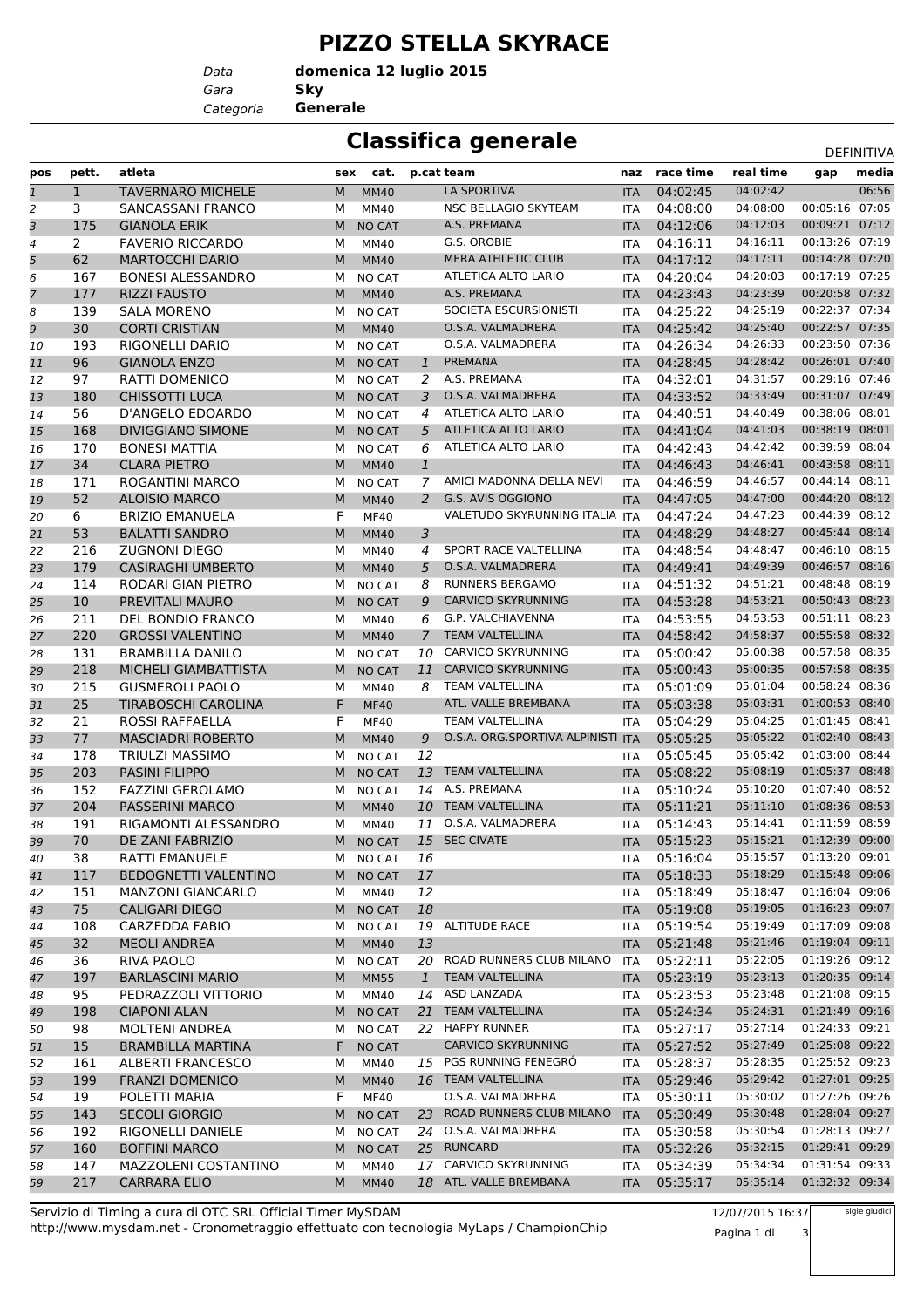## **PIZZO STELLA SKYRACE**

*Gara* **Sky domenica 12 luglio 2015**

*Categoria* **Generale**

*Data*

## **Classifica generale** Definitival Definitival

|              |                       |                             |    |               |                |                                   |            |               |           |                | レヒー !!!!!!! レア |
|--------------|-----------------------|-----------------------------|----|---------------|----------------|-----------------------------------|------------|---------------|-----------|----------------|----------------|
| pos          | pett.                 | atleta                      |    | sex cat.      |                | p.cat team                        |            | naz race time | real time | gap            | media          |
| $\mathbf{1}$ | $\mathbf{1}$          | <b>TAVERNARO MICHELE</b>    | M  | <b>MM40</b>   |                | LA SPORTIVA                       | <b>ITA</b> | 04:02:45      | 04:02:42  |                | 06:56          |
| 2            | 3                     | SANCASSANI FRANCO           | м  | MM40          |                | NSC BELLAGIO SKYTEAM              | ITA        | 04:08:00      | 04:08:00  | 00:05:16 07:05 |                |
| 3            | 175                   | <b>GIANOLA ERIK</b>         | M  | <b>NO CAT</b> |                | A.S. PREMANA                      | <b>ITA</b> | 04:12:06      | 04:12:03  | 00:09:21       | 07:12          |
| 4            | $\mathbf{2}^{\prime}$ | <b>FAVERIO RICCARDO</b>     | М  | MM40          |                | G.S. OROBIE                       | <b>ITA</b> | 04:16:11      | 04:16:11  | 00:13:26 07:19 |                |
| 5            | 62                    | <b>MARTOCCHI DARIO</b>      | M  | <b>MM40</b>   |                | <b>MERA ATHLETIC CLUB</b>         | <b>ITA</b> | 04:17:12      | 04:17:11  | 00:14:28 07:20 |                |
| 6            | 167                   | <b>BONESI ALESSANDRO</b>    | м  | <b>NO CAT</b> |                | ATLETICA ALTO LARIO               | <b>ITA</b> | 04:20:04      | 04:20:03  | 00:17:19 07:25 |                |
| 7            | 177                   | <b>RIZZI FAUSTO</b>         | M  | <b>MM40</b>   |                | A.S. PREMANA                      | <b>ITA</b> | 04:23:43      | 04:23:39  | 00:20:58 07:32 |                |
| 8            | 139                   | <b>SALA MORENO</b>          | м  | <b>NO CAT</b> |                | SOCIETA ESCURSIONISTI             | <b>ITA</b> | 04:25:22      | 04:25:19  | 00:22:37 07:34 |                |
| 9            | 30                    | <b>CORTI CRISTIAN</b>       | M  | <b>MM40</b>   |                | O.S.A. VALMADRERA                 | <b>ITA</b> | 04:25:42      | 04:25:40  | 00:22:57 07:35 |                |
| 10           | 193                   | RIGONELLI DARIO             | М  | <b>NO CAT</b> |                | O.S.A. VALMADRERA                 | <b>ITA</b> | 04:26:34      | 04:26:33  | 00:23:50 07:36 |                |
| 11           | 96                    | <b>GIANOLA ENZO</b>         | M  | <b>NO CAT</b> | $\mathbf{1}$   | <b>PREMANA</b>                    | <b>ITA</b> | 04:28:45      | 04:28:42  | 00:26:01 07:40 |                |
| 12           | 97                    | RATTI DOMENICO              | М  | NO CAT        | 2              | A.S. PREMANA                      | <b>ITA</b> | 04:32:01      | 04:31:57  | 00:29:16 07:46 |                |
| 13           | 180                   | <b>CHISSOTTI LUCA</b>       | M  | <b>NO CAT</b> | 3              | O.S.A. VALMADRERA                 | <b>ITA</b> | 04:33:52      | 04:33:49  | 00:31:07 07:49 |                |
| 14           | 56                    | D'ANGELO EDOARDO            | М  | NO CAT        | 4              | ATLETICA ALTO LARIO               | <b>ITA</b> | 04:40:51      | 04:40:49  | 00:38:06 08:01 |                |
| 15           | 168                   | <b>DIVIGGIANO SIMONE</b>    | M  | <b>NO CAT</b> | 5              | ATLETICA ALTO LARIO               | <b>ITA</b> | 04:41:04      | 04:41:03  | 00:38:19       | 08:01          |
| 16           | 170                   | <b>BONESI MATTIA</b>        | М  | <b>NO CAT</b> | 6              | ATLETICA ALTO LARIO               | <b>ITA</b> | 04:42:43      | 04:42:42  | 00:39:59 08:04 |                |
| 17           | 34                    | <b>CLARA PIETRO</b>         | M  | <b>MM40</b>   | $\mathbf{1}$   |                                   | <b>ITA</b> | 04:46:43      | 04:46:41  | 00:43:58 08:11 |                |
| 18           | 171                   | <b>ROGANTINI MARCO</b>      | м  | <b>NO CAT</b> | 7              | AMICI MADONNA DELLA NEVI          | <b>ITA</b> | 04:46:59      | 04:46:57  | 00:44:14       | 08:11          |
| 19           | 52                    | <b>ALOISIO MARCO</b>        | M  | <b>MM40</b>   | $\overline{2}$ | G.S. AVIS OGGIONO                 | <b>ITA</b> | 04:47:05      | 04:47:00  | 00:44:20 08:12 |                |
| 20           | 6                     | <b>BRIZIO EMANUELA</b>      | F  | <b>MF40</b>   |                | VALETUDO SKYRUNNING ITALIA ITA    |            | 04:47:24      | 04:47:23  | 00:44:39 08:12 |                |
| 21           | 53                    | <b>BALATTI SANDRO</b>       | M  | <b>MM40</b>   | 3              |                                   | <b>ITA</b> | 04:48:29      | 04:48:27  | 00:45:44       | 08:14          |
| 22           | 216                   | <b>ZUGNONI DIEGO</b>        | М  | MM40          | 4              | SPORT RACE VALTELLINA             | <b>ITA</b> | 04:48:54      | 04:48:47  | 00:46:10 08:15 |                |
| 23           | 179                   | <b>CASIRAGHI UMBERTO</b>    | M  | <b>MM40</b>   | 5              | O.S.A. VALMADRERA                 | <b>ITA</b> | 04:49:41      | 04:49:39  | 00:46:57       | 08:16          |
| 24           | 114                   | RODARI GIAN PIETRO          | М  | <b>NO CAT</b> | 8              | <b>RUNNERS BERGAMO</b>            | <b>ITA</b> | 04:51:32      | 04:51:21  | 00:48:48       | 08:19          |
| 25           | 10                    | PREVITALI MAURO             | M  | <b>NO CAT</b> | 9              | <b>CARVICO SKYRUNNING</b>         | <b>ITA</b> | 04:53:28      | 04:53:21  | 00:50:43 08:23 |                |
| 26           | 211                   | DEL BONDIO FRANCO           | М  | MM40          | 6              | G.P. VALCHIAVENNA                 | <b>ITA</b> | 04:53:55      | 04:53:53  | 00:51:11 08:23 |                |
| 27           | 220                   | <b>GROSSI VALENTINO</b>     | M  | <b>MM40</b>   | $\overline{7}$ | <b>TEAM VALTELLINA</b>            | <b>ITA</b> | 04:58:42      | 04:58:37  | 00:55:58 08:32 |                |
| 28           | 131                   | <b>BRAMBILLA DANILO</b>     | М  | <b>NO CAT</b> | 10             | CARVICO SKYRUNNING                | <b>ITA</b> | 05:00:42      | 05:00:38  | 00:57:58 08:35 |                |
| 29           | 218                   | MICHELI GIAMBATTISTA        | M  | <b>NO CAT</b> | 11             | <b>CARVICO SKYRUNNING</b>         | <b>ITA</b> | 05:00:43      | 05:00:35  | 00:57:58 08:35 |                |
| 30           | 215                   | <b>GUSMEROLI PAOLO</b>      | М  | MM40          | 8              | <b>TEAM VALTELLINA</b>            | <b>ITA</b> | 05:01:09      | 05:01:04  | 00:58:24 08:36 |                |
| 31           | 25                    | TIRABOSCHI CAROLINA         | F  | <b>MF40</b>   |                | ATL. VALLE BREMBANA               | <b>ITA</b> | 05:03:38      | 05:03:31  | 01:00:53 08:40 |                |
| 32           | 21                    | <b>ROSSI RAFFAELLA</b>      | F  | <b>MF40</b>   |                | <b>TEAM VALTELLINA</b>            | <b>ITA</b> | 05:04:29      | 05:04:25  | 01:01:45 08:41 |                |
| 33           | 77                    | <b>MASCIADRI ROBERTO</b>    | M  | <b>MM40</b>   | 9              | O.S.A. ORG.SPORTIVA ALPINISTI ITA |            | 05:05:25      | 05:05:22  | 01:02:40 08:43 |                |
| 34           | 178                   | <b>TRIULZI MASSIMO</b>      | М  | <b>NO CAT</b> | 12             |                                   | ITA        | 05:05:45      | 05:05:42  | 01:03:00 08:44 |                |
| 35           | 203                   | <b>PASINI FILIPPO</b>       | M  | <b>NO CAT</b> | 13             | <b>TEAM VALTELLINA</b>            | <b>ITA</b> | 05:08:22      | 05:08:19  | 01:05:37       | 08:48          |
| 36           | 152                   | <b>FAZZINI GEROLAMO</b>     | М  | NO CAT        | 14             | A.S. PREMANA                      | <b>ITA</b> | 05:10:24      | 05:10:20  | 01:07:40 08:52 |                |
| 37           | 204                   | <b>PASSERINI MARCO</b>      | M  | <b>MM40</b>   |                | 10 TEAM VALTELLINA                | <b>ITA</b> | 05:11:21      | 05:11:10  | 01:08:36 08:53 |                |
| 38           | 191                   | RIGAMONTI ALESSANDRO        | М  | MM40          | 11             | O.S.A. VALMADRERA                 | <b>ITA</b> | 05:14:43      | 05:14:41  | 01:11:59 08:59 |                |
| 39           | 70                    | DE ZANI FABRIZIO            | M  | <b>NO CAT</b> |                | 15 SEC CIVATE                     | <b>ITA</b> | 05:15:23      | 05:15:21  | 01:12:39 09:00 |                |
| 40           | 38                    | RATTI EMANUELE              | M  | <b>NO CAT</b> | 16             |                                   | ITA        | 05:16:04      | 05:15:57  | 01:13:20 09:01 |                |
| 41           | 117                   | <b>BEDOGNETTI VALENTINO</b> | M  | <b>NO CAT</b> | 17             |                                   | <b>ITA</b> | 05:18:33      | 05:18:29  | 01:15:48 09:06 |                |
| 42           | 151                   | <b>MANZONI GIANCARLO</b>    | м  | MM40          | 12             |                                   | ITA        | 05:18:49      | 05:18:47  | 01:16:04 09:06 |                |
| 43           | 75                    | <b>CALIGARI DIEGO</b>       | M  | <b>NO CAT</b> | 18             |                                   | <b>ITA</b> | 05:19:08      | 05:19:05  | 01:16:23 09:07 |                |
| 44           | 108                   | CARZEDDA FABIO              | м  | <b>NO CAT</b> |                | 19 ALTITUDE RACE                  | ITA        | 05:19:54      | 05:19:49  | 01:17:09 09:08 |                |
| 45           | 32                    | <b>MEOLI ANDREA</b>         | М  | <b>MM40</b>   | 13             |                                   | <b>ITA</b> | 05:21:48      | 05:21:46  | 01:19:04 09:11 |                |
| 46           | 36                    | RIVA PAOLO                  | м  | NO CAT        |                | 20 ROAD RUNNERS CLUB MILANO       | ITA        | 05:22:11      | 05:22:05  | 01:19:26 09:12 |                |
| 47           | 197                   | <b>BARLASCINI MARIO</b>     | M  | <b>MM55</b>   |                | 1 TEAM VALTELLINA                 | <b>ITA</b> | 05:23:19      | 05:23:13  | 01:20:35 09:14 |                |
| 48           | 95                    | PEDRAZZOLI VITTORIO         | м  | MM40          |                | 14 ASD LANZADA                    | <b>ITA</b> | 05:23:53      | 05:23:48  | 01:21:08 09:15 |                |
| 49           | 198                   | <b>CIAPONI ALAN</b>         | M  | NO CAT        |                | 21 TEAM VALTELLINA                | <b>ITA</b> | 05:24:34      | 05:24:31  | 01:21:49 09:16 |                |
| 50           | 98                    | MOLTENI ANDREA              | м  | NO CAT        |                | 22 HAPPY RUNNER                   | ITA        | 05:27:17      | 05:27:14  | 01:24:33 09:21 |                |
| 51           | 15                    | <b>BRAMBILLA MARTINA</b>    | F. | <b>NO CAT</b> |                | <b>CARVICO SKYRUNNING</b>         | <b>ITA</b> | 05:27:52      | 05:27:49  | 01:25:08 09:22 |                |
| 52           | 161                   | ALBERTI FRANCESCO           | М  | MM40          |                | 15 PGS RUNNING FENEGRÓ            | ITA        | 05:28:37      | 05:28:35  | 01:25:52 09:23 |                |
| 53           | 199                   | <b>FRANZI DOMENICO</b>      | M  | <b>MM40</b>   |                | 16 TEAM VALTELLINA                | <b>ITA</b> | 05:29:46      | 05:29:42  | 01:27:01 09:25 |                |
| 54           | 19                    | POLETTI MARIA               | F  | MF40          |                | O.S.A. VALMADRERA                 | ITA        | 05:30:11      | 05:30:02  | 01:27:26 09:26 |                |
| 55           | 143                   | <b>SECOLI GIORGIO</b>       | M  | <b>NO CAT</b> |                | 23 ROAD RUNNERS CLUB MILANO       | <b>ITA</b> | 05:30:49      | 05:30:48  | 01:28:04 09:27 |                |
| 56           | 192                   | RIGONELLI DANIELE           | м  | NO CAT        |                | 24 O.S.A. VALMADRERA              | ITA        | 05:30:58      | 05:30:54  | 01:28:13 09:27 |                |
| 57           | 160                   | <b>BOFFINI MARCO</b>        | M  | <b>NO CAT</b> |                | 25 RUNCARD                        | <b>ITA</b> | 05:32:26      | 05:32:15  | 01:29:41 09:29 |                |
| 58           | 147                   | <b>MAZZOLENI COSTANTINO</b> | М  | MM40          |                | 17 CARVICO SKYRUNNING             | <b>ITA</b> | 05:34:39      | 05:34:34  | 01:31:54 09:33 |                |
| 59           | 217                   | CARRARA ELIO                | M  | <b>MM40</b>   |                | 18 ATL. VALLE BREMBANA            | <b>ITA</b> | 05:35:17      | 05:35:14  | 01:32:32 09:34 |                |

http://www.mysdam.net - Cronometraggio effettuato con tecnologia MyLaps / ChampionChip Servizio di Timing a cura di OTC SRL Official Timer MySDAM

12/07/2015 16:37 Pagina 1 di 3 sigle giudici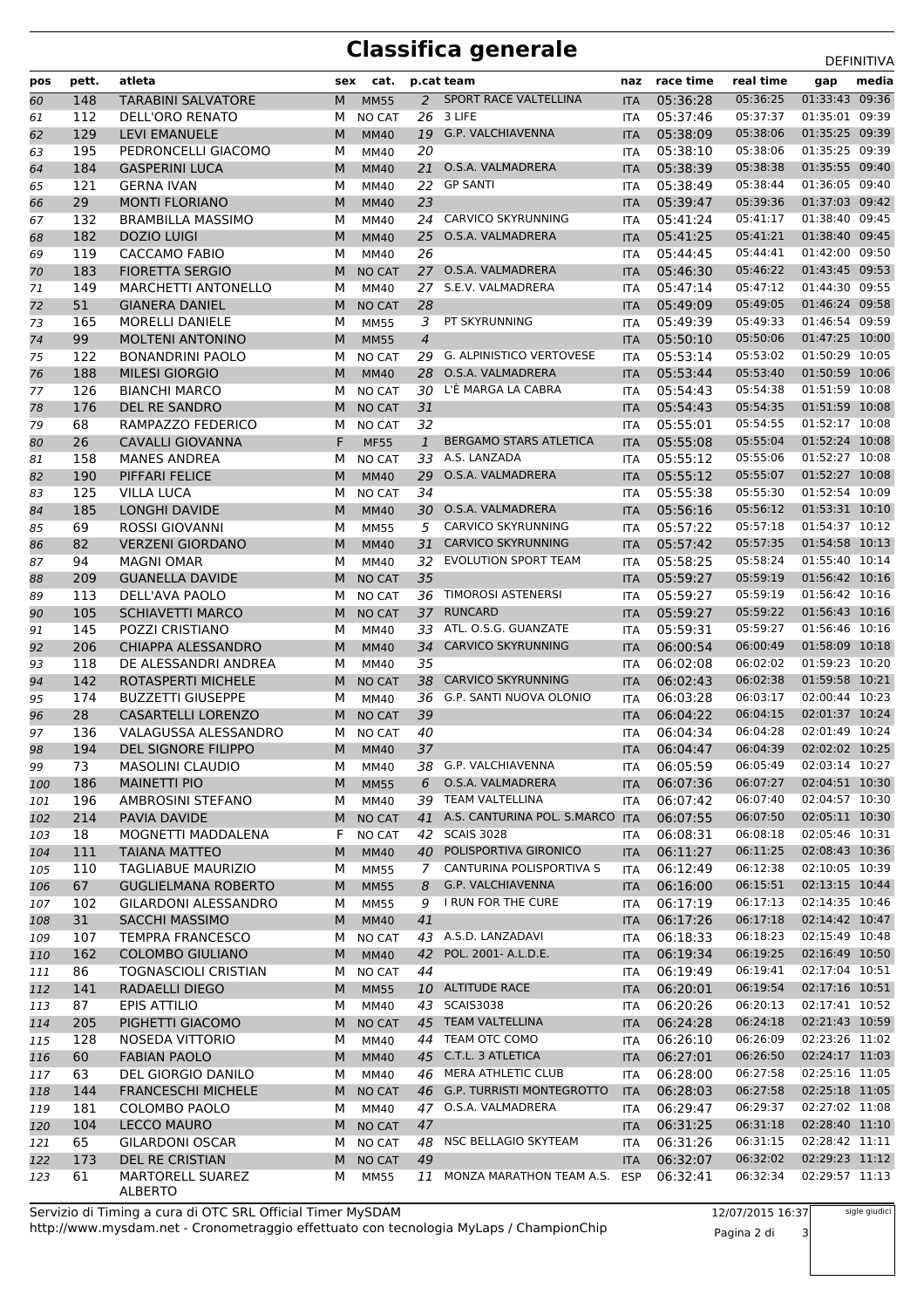## **Classifica generale** DEFINITIVA

| pos        | pett.      | atleta                                             | sex    | cat.                       |                     | p.cat team                                | naz               | race time            | real time                 | gap                              | media |
|------------|------------|----------------------------------------------------|--------|----------------------------|---------------------|-------------------------------------------|-------------------|----------------------|---------------------------|----------------------------------|-------|
| 60         | 148        | <b>TARABINI SALVATORE</b>                          | M      | <b>MM55</b>                |                     | 2 SPORT RACE VALTELLINA                   | <b>ITA</b>        | 05:36:28             | 05:36:25                  | 01:33:43 09:36                   |       |
| 61         | 112        | DELL'ORO RENATO                                    | м      | NO CAT                     | 26                  | 3 LIFE                                    | <b>ITA</b>        | 05:37:46             | 05:37:37                  | 01:35:01 09:39                   |       |
| 62         | 129        | <b>LEVI EMANUELE</b>                               | M      | <b>MM40</b>                |                     | 19 G.P. VALCHIAVENNA                      | <b>ITA</b>        | 05:38:09             | 05:38:06                  | 01:35:25 09:39                   |       |
| 63         | 195        | PEDRONCELLI GIACOMO                                | М      | MM40                       | 20                  |                                           | <b>ITA</b>        | 05:38:10             | 05:38:06                  | 01:35:25 09:39                   |       |
| 64         | 184        | <b>GASPERINI LUCA</b>                              | M      | <b>MM40</b>                | 21                  | O.S.A. VALMADRERA                         | <b>ITA</b>        | 05:38:39             | 05:38:38                  | 01:35:55 09:40                   |       |
| 65         | 121        | <b>GERNA IVAN</b>                                  | М      | <b>MM40</b>                | 22                  | <b>GP SANTI</b>                           | <b>ITA</b>        | 05:38:49             | 05:38:44                  | 01:36:05 09:40                   |       |
| 66         | 29         | <b>MONTI FLORIANO</b>                              | М      | <b>MM40</b>                | 23                  |                                           | <b>ITA</b>        | 05:39:47             | 05:39:36                  | 01:37:03 09:42                   |       |
| 67         | 132        | <b>BRAMBILLA MASSIMO</b>                           | м      | MM40                       | 24                  | CARVICO SKYRUNNING                        | <b>ITA</b>        | 05:41:24             | 05:41:17                  | 01:38:40 09:45                   |       |
| 68         | 182        | <b>DOZIO LUIGI</b>                                 | M      | <b>MM40</b>                |                     | 25 O.S.A. VALMADRERA                      | <b>ITA</b>        | 05:41:25             | 05:41:21                  | 01:38:40 09:45                   |       |
| 69         | 119        | <b>CACCAMO FABIO</b>                               | М      | <b>MM40</b>                | 26                  |                                           | <b>ITA</b>        | 05:44:45             | 05:44:41                  | 01:42:00 09:50                   |       |
| 70         | 183        | <b>FIORETTA SERGIO</b>                             | M      | <b>NO CAT</b>              |                     | 27 O.S.A. VALMADRERA                      | <b>ITA</b>        | 05:46:30             | 05:46:22                  | 01:43:45 09:53<br>01:44:30 09:55 |       |
| 71         | 149        | <b>MARCHETTI ANTONELLO</b>                         | М      | MM40                       |                     | 27 S.E.V. VALMADRERA                      | <b>ITA</b>        | 05:47:14             | 05:47:12                  |                                  |       |
| 72         | 51         | <b>GIANERA DANIEL</b>                              | M      | <b>NO CAT</b>              | 28                  | PT SKYRUNNING                             | <b>ITA</b>        | 05:49:09<br>05:49:39 | 05:49:05<br>05:49:33      | 01:46:24 09:58<br>01:46:54 09:59 |       |
| 73         | 165<br>99  | <b>MORELLI DANIELE</b>                             | м      | <b>MM55</b>                | 3<br>$\overline{4}$ |                                           | <b>ITA</b>        | 05:50:10             | 05:50:06                  | 01:47:25 10:00                   |       |
| 74<br>75   | 122        | <b>MOLTENI ANTONINO</b><br><b>BONANDRINI PAOLO</b> | M<br>М | <b>MM55</b><br>NO CAT      | 29                  | <b>G. ALPINISTICO VERTOVESE</b>           | <b>ITA</b><br>ITA | 05:53:14             | 05:53:02                  | 01:50:29 10:05                   |       |
| 76         | 188        | <b>MILESI GIORGIO</b>                              | M      | <b>MM40</b>                | 28                  | O.S.A. VALMADRERA                         | <b>ITA</b>        | 05:53:44             | 05:53:40                  | 01:50:59 10:06                   |       |
| 77         | 126        | <b>BIANCHI MARCO</b>                               | М      | <b>NO CAT</b>              | 30                  | L'È MARGA LA CABRA                        | <b>ITA</b>        | 05:54:43             | 05:54:38                  | 01:51:59 10:08                   |       |
| 78         | 176        | DEL RE SANDRO                                      | M      | <b>NO CAT</b>              | 31                  |                                           | <b>ITA</b>        | 05:54:43             | 05:54:35                  | 01:51:59 10:08                   |       |
| 79         | 68         | RAMPAZZO FEDERICO                                  | м      | <b>NO CAT</b>              | 32                  |                                           | <b>ITA</b>        | 05:55:01             | 05:54:55                  | 01:52:17 10:08                   |       |
| 80         | 26         | <b>CAVALLI GIOVANNA</b>                            | F      | <b>MF55</b>                | $\mathbf{1}$        | <b>BERGAMO STARS ATLETICA</b>             | <b>ITA</b>        | 05:55:08             | 05:55:04                  | 01:52:24 10:08                   |       |
| 81         | 158        | <b>MANES ANDREA</b>                                | М      | NO CAT                     | 33                  | A.S. LANZADA                              | <b>ITA</b>        | 05:55:12             | 05:55:06                  | 01:52:27 10:08                   |       |
| 82         | 190        | <b>PIFFARI FELICE</b>                              | M      | <b>MM40</b>                | 29                  | O.S.A. VALMADRERA                         | <b>ITA</b>        | 05:55:12             | 05:55:07                  | 01:52:27 10:08                   |       |
| 83         | 125        | <b>VILLA LUCA</b>                                  | М      | <b>NO CAT</b>              | 34                  |                                           | <b>ITA</b>        | 05:55:38             | 05:55:30                  | 01:52:54 10:09                   |       |
| 84         | 185        | <b>LONGHI DAVIDE</b>                               | M      | <b>MM40</b>                |                     | 30 O.S.A. VALMADRERA                      | <b>ITA</b>        | 05:56:16             | 05:56:12                  | 01:53:31 10:10                   |       |
| 85         | 69         | <b>ROSSI GIOVANNI</b>                              | М      | <b>MM55</b>                | 5                   | CARVICO SKYRUNNING                        | <b>ITA</b>        | 05:57:22             | 05:57:18                  | 01:54:37 10:12                   |       |
| 86         | 82         | <b>VERZENI GIORDANO</b>                            | M      | <b>MM40</b>                | 31                  | <b>CARVICO SKYRUNNING</b>                 | <b>ITA</b>        | 05:57:42             | 05:57:35                  | 01:54:58 10:13                   |       |
| 87         | 94         | <b>MAGNI OMAR</b>                                  | М      | MM40                       | 32                  | <b>EVOLUTION SPORT TEAM</b>               | <b>ITA</b>        | 05:58:25             | 05:58:24                  | 01:55:40 10:14                   |       |
| 88         | 209        | <b>GUANELLA DAVIDE</b>                             | M      | <b>NO CAT</b>              | 35                  |                                           | <b>ITA</b>        | 05:59:27             | 05:59:19                  | 01:56:42 10:16                   |       |
| 89         | 113        | DELL'AVA PAOLO                                     | м      | <b>NO CAT</b>              | 36                  | <b>TIMOROSI ASTENERSI</b>                 | <b>ITA</b>        | 05:59:27             | 05:59:19                  | 01:56:42 10:16                   |       |
| 90         | 105        | <b>SCHIAVETTI MARCO</b>                            | M      | <b>NO CAT</b>              |                     | 37 RUNCARD                                | <b>ITA</b>        | 05:59:27             | 05:59:22                  | 01:56:43 10:16                   |       |
| 91         | 145        | POZZI CRISTIANO                                    | м      | MM40                       | 33                  | ATL. O.S.G. GUANZATE                      | <b>ITA</b>        | 05:59:31             | 05:59:27                  | 01:56:46 10:16                   |       |
| 92         | 206        | CHIAPPA ALESSANDRO                                 | M      | <b>MM40</b>                | 34                  | <b>CARVICO SKYRUNNING</b>                 | <b>ITA</b>        | 06:00:54             | 06:00:49                  | 01:58:09 10:18                   |       |
| 93         | 118        | DE ALESSANDRI ANDREA                               | М      | MM40                       | 35                  |                                           | <b>ITA</b>        | 06:02:08             | 06:02:02                  | 01:59:23 10:20                   |       |
| 94         | 142        | <b>ROTASPERTI MICHELE</b>                          | M      | <b>NO CAT</b>              | 38                  | <b>CARVICO SKYRUNNING</b>                 | <b>ITA</b>        | 06:02:43             | 06:02:38                  | 01:59:58 10:21                   |       |
| 95         | 174        | <b>BUZZETTI GIUSEPPE</b>                           | М      | MM40                       | 36                  | G.P. SANTI NUOVA OLONIO                   | <b>ITA</b>        | 06:03:28             | 06:03:17                  | 02:00:44 10:23                   |       |
| 96         | 28         | <b>CASARTELLI LORENZO</b>                          | M      | <b>NO CAT</b>              | 39                  |                                           | <b>ITA</b>        | 06:04:22             | 06:04:15                  | 02:01:37 10:24                   |       |
| 97         | 136        | VALAGUSSA ALESSANDRO                               | м      | NO CAT                     | 40                  |                                           | <b>ITA</b>        | 06:04:34             | 06:04:28                  | 02:01:49 10:24                   |       |
| 98         | 194        | DEL SIGNORE FILIPPO                                | M      | <b>MM40</b>                | 37                  |                                           | <b>ITA</b>        | 06:04:47             | 06:04:39                  | 02:02:02 10:25                   |       |
| 99         | 73         | MASOLINI CLAUDIO                                   | М      | <b>MM40</b>                |                     | 38 G.P. VALCHIAVENNA                      | <b>ITA</b>        | 06:05:59             | 06:05:49  02:03:14  10:27 |                                  |       |
| 100        | 186        | <b>MAINETTI PIO</b>                                | M      | <b>MM55</b>                |                     | 6 O.S.A. VALMADRERA                       | <b>ITA</b>        | 06:07:36             | 06:07:27                  | 02:04:51 10:30                   |       |
| 101        | 196        | AMBROSINI STEFANO                                  | М      | MM40                       |                     | 39 TEAM VALTELLINA                        | <b>ITA</b>        | 06:07:42             | 06:07:40                  | 02:04:57 10:30                   |       |
| 102        | 214        | PAVIA DAVIDE                                       | M      | NO CAT                     |                     | 41 A.S. CANTURINA POL. S.MARCO ITA        |                   | 06:07:55             | 06:07:50                  | 02:05:11 10:30                   |       |
| 103        | 18         | MOGNETTI MADDALENA                                 | F.     | <b>NO CAT</b>              |                     | 42 SCAIS 3028<br>40 POLISPORTIVA GIRONICO | ITA               | 06:08:31             | 06:08:18<br>06:11:25      | 02:05:46 10:31<br>02:08:43 10:36 |       |
| 104        | 111<br>110 | <b>TAIANA MATTEO</b><br><b>TAGLIABUE MAURIZIO</b>  | M      | <b>MM40</b><br><b>MM55</b> | 7                   | CANTURINA POLISPORTIVA S                  | <b>ITA</b>        | 06:11:27<br>06:12:49 | 06:12:38                  | 02:10:05 10:39                   |       |
| 105        | 67         | <b>GUGLIELMANA ROBERTO</b>                         | М<br>M | <b>MM55</b>                | 8                   | G.P. VALCHIAVENNA                         | ITA               | 06:16:00             | 06:15:51                  | 02:13:15 10:44                   |       |
| 106<br>107 | 102        | GILARDONI ALESSANDRO                               | м      | <b>MM55</b>                | 9                   | I RUN FOR THE CURE                        | <b>ITA</b><br>ITA | 06:17:19             | 06:17:13                  | 02:14:35 10:46                   |       |
| 108        | 31         | <b>SACCHI MASSIMO</b>                              | M      | <b>MM40</b>                | 41                  |                                           | <b>ITA</b>        | 06:17:26             | 06:17:18                  | 02:14:42 10:47                   |       |
| 109        | 107        | <b>TEMPRA FRANCESCO</b>                            | м      | <b>NO CAT</b>              | 43                  | A.S.D. LANZADAVI                          | ITA               | 06:18:33             | 06:18:23                  | 02:15:49 10:48                   |       |
| 110        | 162        | <b>COLOMBO GIULIANO</b>                            | M      | <b>MM40</b>                |                     | 42 POL. 2001- A.L.D.E.                    | <b>ITA</b>        | 06:19:34             | 06:19:25                  | 02:16:49 10:50                   |       |
| 111        | 86         | <b>TOGNASCIOLI CRISTIAN</b>                        | м      | NO CAT                     | 44                  |                                           | ITA               | 06:19:49             | 06:19:41                  | 02:17:04 10:51                   |       |
| 112        | 141        | RADAELLI DIEGO                                     | M      | <b>MM55</b>                |                     | 10 ALTITUDE RACE                          | <b>ITA</b>        | 06:20:01             | 06:19:54                  | 02:17:16 10:51                   |       |
| 113        | 87         | <b>EPIS ATTILIO</b>                                | М      | MM40                       |                     | 43 SCAIS3038                              | ITA               | 06:20:26             | 06:20:13                  | 02:17:41 10:52                   |       |
| 114        | 205        | PIGHETTI GIACOMO                                   | M      | NO CAT                     |                     | 45 TEAM VALTELLINA                        | <b>ITA</b>        | 06:24:28             | 06:24:18                  | 02:21:43 10:59                   |       |
| 115        | 128        | NOSEDA VITTORIO                                    | м      | MM40                       |                     | 44 TEAM OTC COMO                          | ITA               | 06:26:10             | 06:26:09                  | 02:23:26 11:02                   |       |
| 116        | 60         | <b>FABIAN PAOLO</b>                                | M      | <b>MM40</b>                |                     | 45 C.T.L. 3 ATLETICA                      | <b>ITA</b>        | 06:27:01             | 06:26:50                  | 02:24:17 11:03                   |       |
| 117        | 63         | DEL GIORGIO DANILO                                 | м      | MM40                       |                     | 46 MERA ATHLETIC CLUB                     | ITA               | 06:28:00             | 06:27:58                  | 02:25:16 11:05                   |       |
| 118        | 144        | <b>FRANCESCHI MICHELE</b>                          | M      | NO CAT                     |                     | 46 G.P. TURRISTI MONTEGROTTO              | <b>ITA</b>        | 06:28:03             | 06:27:58                  | 02:25:18 11:05                   |       |
| 119        | 181        | COLOMBO PAOLO                                      | м      | MM40                       |                     | 47 O.S.A. VALMADRERA                      | ITA               | 06:29:47             | 06:29:37                  | 02:27:02 11:08                   |       |
| 120        | 104        | <b>LECCO MAURO</b>                                 | M      | NO CAT                     | 47                  |                                           | <b>ITA</b>        | 06:31:25             | 06:31:18                  | 02:28:40 11:10                   |       |
| 121        | 65         | <b>GILARDONI OSCAR</b>                             | M      | NO CAT                     | 48                  | NSC BELLAGIO SKYTEAM                      | ITA               | 06:31:26             | 06:31:15                  | 02:28:42 11:11                   |       |
| 122        | 173        | DEL RE CRISTIAN                                    | м      | <b>NO CAT</b>              | 49                  |                                           | <b>ITA</b>        | 06:32:07             | 06:32:02                  | 02:29:23 11:12                   |       |
| 123        | 61         | MARTORELL SUAREZ<br><b>ALBERTO</b>                 | М      | <b>MM55</b>                |                     | 11 MONZA MARATHON TEAM A.S.               | <b>ESP</b>        | 06:32:41             | 06:32:34                  | 02:29:57 11:13                   |       |

http://www.mysdam.net - Cronometraggio effettuato con tecnologia MyLaps / ChampionChip Servizio di Timing a cura di OTC SRL Official Timer MySDAM

12/07/2015 16:37 Pagina 2 di 3

sigle giudici